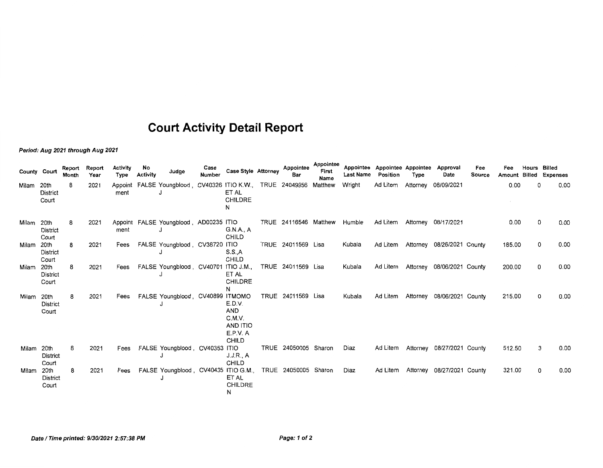## **Court Activity Detail Report**

**Period: Aug 2021 through Aug 2021** 

| County | Court                            | Report<br>Month | Report<br>Year | <b>Activity</b><br>Type | No<br><b>Activity</b> | Judge                                                      | Case<br>Number | <b>Case Style Attorney</b>                                      | Appointee<br>Bar      | Appointee<br>First<br>Name | <b>Last Name</b> | Appointee Appointee Appointee<br>Position | Type     | Approval<br>Date                    | Fee<br>Source | Fee    | Hours | Billed<br>Amount Billed Expenses |
|--------|----------------------------------|-----------------|----------------|-------------------------|-----------------------|------------------------------------------------------------|----------------|-----------------------------------------------------------------|-----------------------|----------------------------|------------------|-------------------------------------------|----------|-------------------------------------|---------------|--------|-------|----------------------------------|
| Milam  | 20th<br>District<br>Court        | 8               | 2021           | ment                    |                       | Appoint FALSE Youngblood, CV40326 ITIO K.W., TRUE 24049956 |                | ET AL<br>CHILDRE<br>N                                           |                       | Matthew                    | Wright           | Ad Litem                                  | Attorney | 08/09/2021                          |               | 0.00   | 0     | 0.00                             |
| Milam  | 20th<br><b>District</b><br>Court | 8               | 2021           | ment                    |                       | Appoint FALSE Youngblood, AD00235 ITIO                     |                | G.N.A., A<br><b>CHILD</b>                                       | TRUE 24116546 Matthew |                            | Humble           | Ad Litem                                  |          | Attorney 08/17/2021                 |               | 0.00   | 0     | 0.00                             |
| Milam  | 20th<br>District<br>Court        | 8               | 2021           | Fees                    |                       | FALSE Youngblood, CV38720 ITIO                             |                | S.S., A<br>CHILD                                                | TRUE 24011569 Lisa    |                            | Kubala           |                                           |          | Ad Litem Attorney 08/26/2021 County |               | 185.00 | 0     | 0.00                             |
| Milam  | 20th<br><b>District</b><br>Court | 8               | 2021           | Fees                    |                       | FALSE Youngblood CV40701 ITIO J.M.,                        |                | ET AL<br><b>CHILDRE</b><br>N                                    | TRUE 24011569 Lisa    |                            | Kubala           |                                           |          | Ad Litem Attorney 08/06/2021 County |               | 200.00 | 0     | 0.00                             |
| Milam  | 20th<br>District<br>Court        | 8               | 2021           | Fees                    |                       | FALSE Youngblood, CV40899 ITMOMO                           |                | E.D.V.<br>AND<br>C.M.V.<br>AND ITIO<br>E.P.V. A<br><b>CHILD</b> | TRUE 24011569 Lisa    |                            | Kubala           | Ad Litem                                  |          | Attorney 08/06/2021 County          |               | 215.00 | 0     | 0.00                             |
| Milam  | 20th<br>District<br>Court        | 8               | 2021           | Fees                    |                       | FALSE Youngblood, CV40353 ITIO                             |                | J.J.R., A<br><b>CHILD</b>                                       | TRUE 24050005 Sharon  |                            | Diaz             | Ad Litem                                  |          | Attorney 08/27/2021 County          |               | 512.50 | 3     | 0.00                             |
| Milam  | 20th<br>District<br>Court        | 8               | 2021           | Fees                    |                       | FALSE Youngblood, CV40435 ITIO G.M.,                       |                | ET AL<br><b>CHILDRE</b><br>N                                    | TRUE 24050005 Sharon  |                            | Diaz             | Ad Litem                                  |          | Attorney 08/27/2021 County          |               | 321.00 | 0     | 0.00                             |